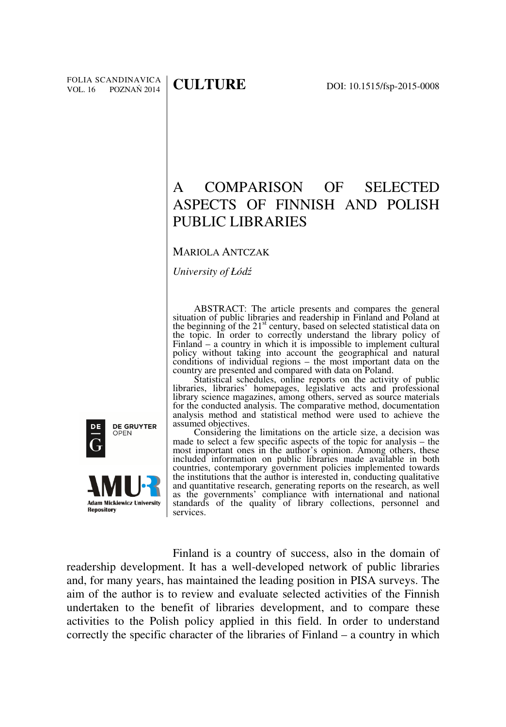# A COMPARISON OF SELECTED ASPECTS OF FINNISH AND POLISH PUBLIC LIBRARIES

# MARIOLA ANTCZAK

*University of Łód*ź

ABSTRACT: The article presents and compares the general situation of public libraries and readership in Finland and Poland at the beginning of the 21<sup>st</sup> century, based on selected statistical data on the topic. In order to correctly understand the library policy of Finland – a country in which it is impossible to implement cultural policy without taking into account the geographical and natural conditions of individual regions – the most important data on the country are presented and compared with data on Poland.

Statistical schedules, online reports on the activity of public libraries, libraries' homepages, legislative acts and professional library science magazines, among others, served as source materials for the conducted analysis. The comparative method, documentation analysis method and statistical method were used to achieve the assumed objectives.

Considering the limitations on the article size, a decision was made to select a few specific aspects of the topic for analysis – the most important ones in the author's opinion. Among others, these included information on public libraries made available in both countries, contemporary government policies implemented towards the institutions that the author is interested in, conducting qualitative and quantitative research, generating reports on the research, as well as the governments' compliance with international and national standards of the quality of library collections, personnel and services.

Finland is a country of success, also in the domain of readership development. It has a well-developed network of public libraries and, for many years, has maintained the leading position in PISA surveys. The aim of the author is to review and evaluate selected activities of the Finnish undertaken to the benefit of libraries development, and to compare these activities to the Polish policy applied in this field. In order to understand correctly the specific character of the libraries of Finland – a country in which

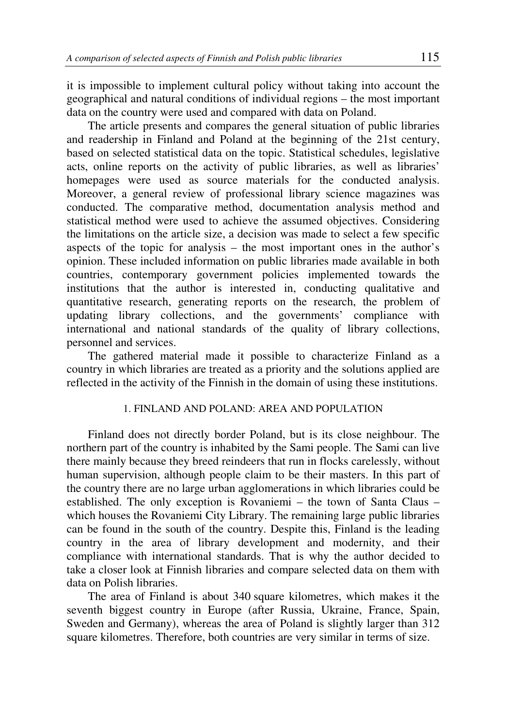it is impossible to implement cultural policy without taking into account the geographical and natural conditions of individual regions – the most important data on the country were used and compared with data on Poland.

The article presents and compares the general situation of public libraries and readership in Finland and Poland at the beginning of the 21st century, based on selected statistical data on the topic. Statistical schedules, legislative acts, online reports on the activity of public libraries, as well as libraries' homepages were used as source materials for the conducted analysis. Moreover, a general review of professional library science magazines was conducted. The comparative method, documentation analysis method and statistical method were used to achieve the assumed objectives. Considering the limitations on the article size, a decision was made to select a few specific aspects of the topic for analysis – the most important ones in the author's opinion. These included information on public libraries made available in both countries, contemporary government policies implemented towards the institutions that the author is interested in, conducting qualitative and quantitative research, generating reports on the research, the problem of updating library collections, and the governments' compliance with international and national standards of the quality of library collections, personnel and services.

The gathered material made it possible to characterize Finland as a country in which libraries are treated as a priority and the solutions applied are reflected in the activity of the Finnish in the domain of using these institutions.

# 1. FINLAND AND POLAND: AREA AND POPULATION

Finland does not directly border Poland, but is its close neighbour. The northern part of the country is inhabited by the Sami people. The Sami can live there mainly because they breed reindeers that run in flocks carelessly, without human supervision, although people claim to be their masters. In this part of the country there are no large urban agglomerations in which libraries could be established. The only exception is Rovaniemi – the town of Santa Claus – which houses the Rovaniemi City Library. The remaining large public libraries can be found in the south of the country. Despite this, Finland is the leading country in the area of library development and modernity, and their compliance with international standards. That is why the author decided to take a closer look at Finnish libraries and compare selected data on them with data on Polish libraries.

The area of Finland is about 340 square kilometres, which makes it the seventh biggest country in Europe (after Russia, Ukraine, France, Spain, Sweden and Germany), whereas the area of Poland is slightly larger than 312 square kilometres. Therefore, both countries are very similar in terms of size.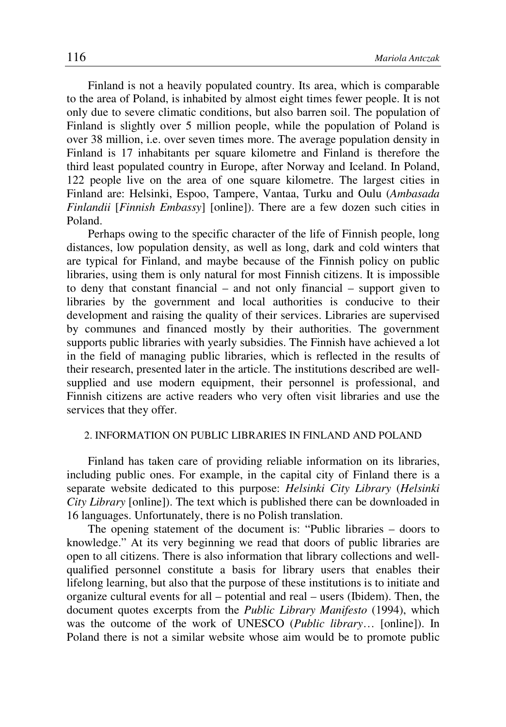Finland is not a heavily populated country. Its area, which is comparable to the area of Poland, is inhabited by almost eight times fewer people. It is not only due to severe climatic conditions, but also barren soil. The population of Finland is slightly over 5 million people, while the population of Poland is over 38 million, i.e. over seven times more. The average population density in Finland is 17 inhabitants per square kilometre and Finland is therefore the third least populated country in Europe, after Norway and Iceland. In Poland, 122 people live on the area of one square kilometre. The largest cities in Finland are: Helsinki, Espoo, Tampere, Vantaa, Turku and Oulu (*Ambasada Finlandii* [*Finnish Embassy*] [online]). There are a few dozen such cities in Poland.

Perhaps owing to the specific character of the life of Finnish people, long distances, low population density, as well as long, dark and cold winters that are typical for Finland, and maybe because of the Finnish policy on public libraries, using them is only natural for most Finnish citizens. It is impossible to deny that constant financial – and not only financial – support given to libraries by the government and local authorities is conducive to their development and raising the quality of their services. Libraries are supervised by communes and financed mostly by their authorities. The government supports public libraries with yearly subsidies. The Finnish have achieved a lot in the field of managing public libraries, which is reflected in the results of their research, presented later in the article. The institutions described are wellsupplied and use modern equipment, their personnel is professional, and Finnish citizens are active readers who very often visit libraries and use the services that they offer.

#### 2. INFORMATION ON PUBLIC LIBRARIES IN FINLAND AND POLAND

Finland has taken care of providing reliable information on its libraries, including public ones. For example, in the capital city of Finland there is a separate website dedicated to this purpose: *Helsinki City Library* (*Helsinki City Library* [online]). The text which is published there can be downloaded in 16 languages. Unfortunately, there is no Polish translation.

The opening statement of the document is: "Public libraries – doors to knowledge." At its very beginning we read that doors of public libraries are open to all citizens. There is also information that library collections and wellqualified personnel constitute a basis for library users that enables their lifelong learning, but also that the purpose of these institutions is to initiate and organize cultural events for all – potential and real – users (Ibidem). Then, the document quotes excerpts from the *Public Library Manifesto* (1994), which was the outcome of the work of UNESCO (*Public library*… [online]). In Poland there is not a similar website whose aim would be to promote public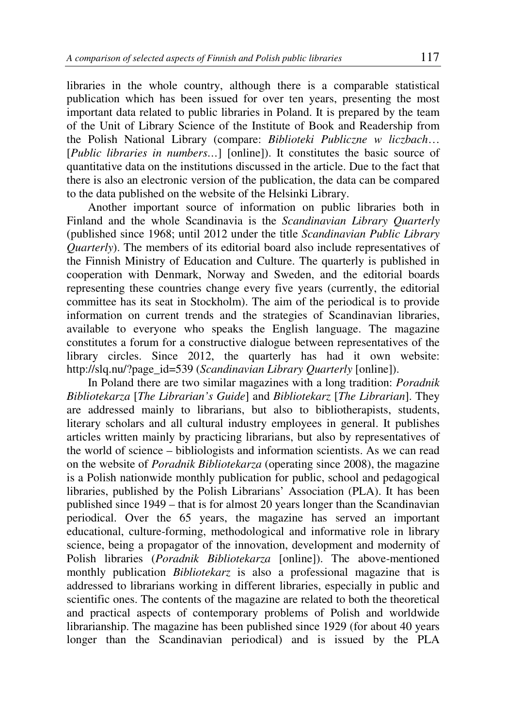libraries in the whole country, although there is a comparable statistical publication which has been issued for over ten years, presenting the most important data related to public libraries in Poland. It is prepared by the team of the Unit of Library Science of the Institute of Book and Readership from the Polish National Library (compare: *Biblioteki Publiczne w liczbach*… [*Public libraries in numbers…*] [online]). It constitutes the basic source of quantitative data on the institutions discussed in the article. Due to the fact that there is also an electronic version of the publication, the data can be compared to the data published on the website of the Helsinki Library.

Another important source of information on public libraries both in Finland and the whole Scandinavia is the *Scandinavian Library Quarterly*  (published since 1968; until 2012 under the title *Scandinavian Public Library Quarterly*). The members of its editorial board also include representatives of the Finnish Ministry of Education and Culture. The quarterly is published in cooperation with Denmark, Norway and Sweden, and the editorial boards representing these countries change every five years (currently, the editorial committee has its seat in Stockholm). The aim of the periodical is to provide information on current trends and the strategies of Scandinavian libraries, available to everyone who speaks the English language. The magazine constitutes a forum for a constructive dialogue between representatives of the library circles. Since 2012, the quarterly has had it own website: http://slq.nu/?page\_id=539 (*Scandinavian Library Quarterly* [online]).

In Poland there are two similar magazines with a long tradition: *Poradnik Bibliotekarza* [*The Librarian's Guide*] and *Bibliotekarz* [*The Librarian*]. They are addressed mainly to librarians, but also to bibliotherapists, students, literary scholars and all cultural industry employees in general. It publishes articles written mainly by practicing librarians, but also by representatives of the world of science – bibliologists and information scientists. As we can read on the website of *Poradnik Bibliotekarza* (operating since 2008), the magazine is a Polish nationwide monthly publication for public, school and pedagogical libraries, published by the Polish Librarians' Association (PLA). It has been published since 1949 – that is for almost 20 years longer than the Scandinavian periodical. Over the 65 years, the magazine has served an important educational, culture-forming, methodological and informative role in library science, being a propagator of the innovation, development and modernity of Polish libraries (*Poradnik Bibliotekarza* [online]). The above-mentioned monthly publication *Bibliotekarz* is also a professional magazine that is addressed to librarians working in different libraries, especially in public and scientific ones. The contents of the magazine are related to both the theoretical and practical aspects of contemporary problems of Polish and worldwide librarianship. The magazine has been published since 1929 (for about 40 years longer than the Scandinavian periodical) and is issued by the PLA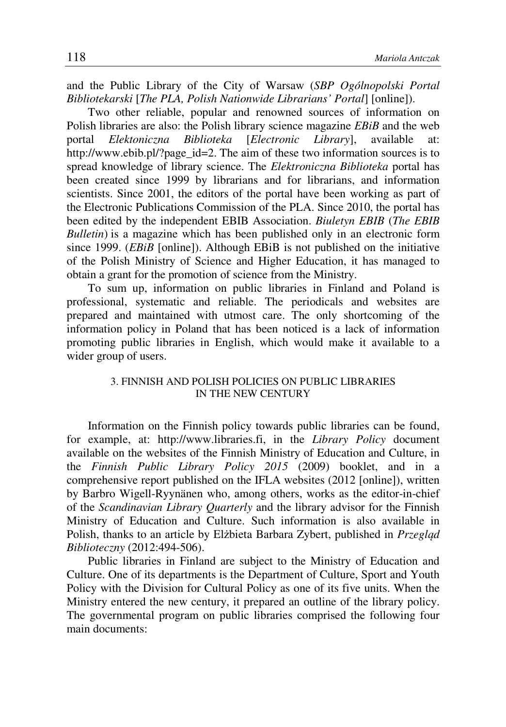and the Public Library of the City of Warsaw (*SBP Ogólnopolski Portal Bibliotekarski* [*The PLA, Polish Nationwide Librarians' Portal*] [online]).

Two other reliable, popular and renowned sources of information on Polish libraries are also: the Polish library science magazine *EBiB* and the web portal *Elektoniczna Biblioteka* [*Electronic Library*], available at: http://www.ebib.pl/?page\_id=2. The aim of these two information sources is to spread knowledge of library science. The *Elektroniczna Biblioteka* portal has been created since 1999 by librarians and for librarians, and information scientists. Since 2001, the editors of the portal have been working as part of the Electronic Publications Commission of the PLA. Since 2010, the portal has been edited by the independent EBIB Association. *Biuletyn EBIB* (*The EBIB Bulletin*) is a magazine which has been published only in an electronic form since 1999. (*EBiB* [online]). Although EBiB is not published on the initiative of the Polish Ministry of Science and Higher Education, it has managed to obtain a grant for the promotion of science from the Ministry.

To sum up, information on public libraries in Finland and Poland is professional, systematic and reliable. The periodicals and websites are prepared and maintained with utmost care. The only shortcoming of the information policy in Poland that has been noticed is a lack of information promoting public libraries in English, which would make it available to a wider group of users.

# 3. FINNISH AND POLISH POLICIES ON PUBLIC LIBRARIES IN THE NEW CENTURY

Information on the Finnish policy towards public libraries can be found, for example, at: http://www.libraries.fi, in the *Library Policy* document available on the websites of the Finnish Ministry of Education and Culture, in the *Finnish Public Library Policy 2015* (2009) booklet, and in a comprehensive report published on the IFLA websites (2012 [online]), written by Barbro Wigell-Ryynänen who, among others, works as the editor-in-chief of the *Scandinavian Library Quarterly* and the library advisor for the Finnish Ministry of Education and Culture. Such information is also available in Polish, thanks to an article by Elżbieta Barbara Zybert, published in *Przegl*ą*d Biblioteczny* (2012:494-506).

Public libraries in Finland are subject to the Ministry of Education and Culture. One of its departments is the Department of Culture, Sport and Youth Policy with the Division for Cultural Policy as one of its five units. When the Ministry entered the new century, it prepared an outline of the library policy. The governmental program on public libraries comprised the following four main documents: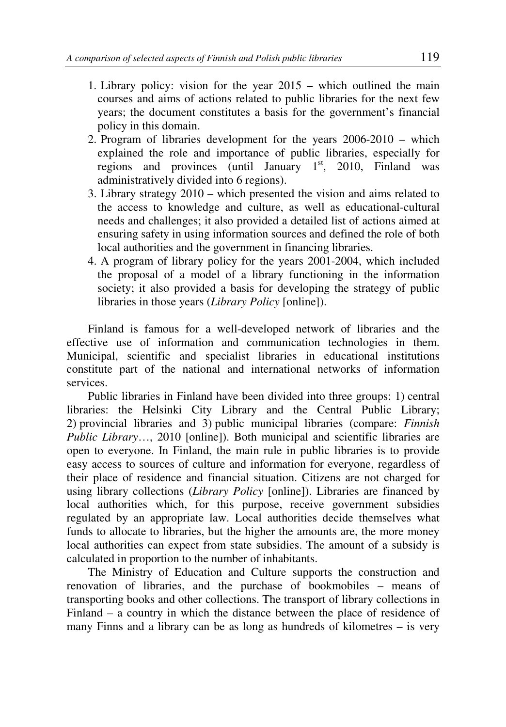- 1. Library policy: vision for the year 2015 which outlined the main courses and aims of actions related to public libraries for the next few years; the document constitutes a basis for the government's financial policy in this domain.
- 2. Program of libraries development for the years 2006-2010 which explained the role and importance of public libraries, especially for regions and provinces (until January  $1<sup>st</sup>$ , 2010, Finland was administratively divided into 6 regions).
- 3. Library strategy 2010 which presented the vision and aims related to the access to knowledge and culture, as well as educational-cultural needs and challenges; it also provided a detailed list of actions aimed at ensuring safety in using information sources and defined the role of both local authorities and the government in financing libraries.
- 4. A program of library policy for the years 2001-2004, which included the proposal of a model of a library functioning in the information society; it also provided a basis for developing the strategy of public libraries in those years (*Library Policy* [online]).

Finland is famous for a well-developed network of libraries and the effective use of information and communication technologies in them. Municipal, scientific and specialist libraries in educational institutions constitute part of the national and international networks of information services.

Public libraries in Finland have been divided into three groups: 1) central libraries: the Helsinki City Library and the Central Public Library; 2) provincial libraries and 3) public municipal libraries (compare: *Finnish Public Library*…, 2010 [online]). Both municipal and scientific libraries are open to everyone. In Finland, the main rule in public libraries is to provide easy access to sources of culture and information for everyone, regardless of their place of residence and financial situation. Citizens are not charged for using library collections (*Library Policy* [online]). Libraries are financed by local authorities which, for this purpose, receive government subsidies regulated by an appropriate law. Local authorities decide themselves what funds to allocate to libraries, but the higher the amounts are, the more money local authorities can expect from state subsidies. The amount of a subsidy is calculated in proportion to the number of inhabitants.

The Ministry of Education and Culture supports the construction and renovation of libraries, and the purchase of bookmobiles – means of transporting books and other collections. The transport of library collections in Finland – a country in which the distance between the place of residence of many Finns and a library can be as long as hundreds of kilometres – is very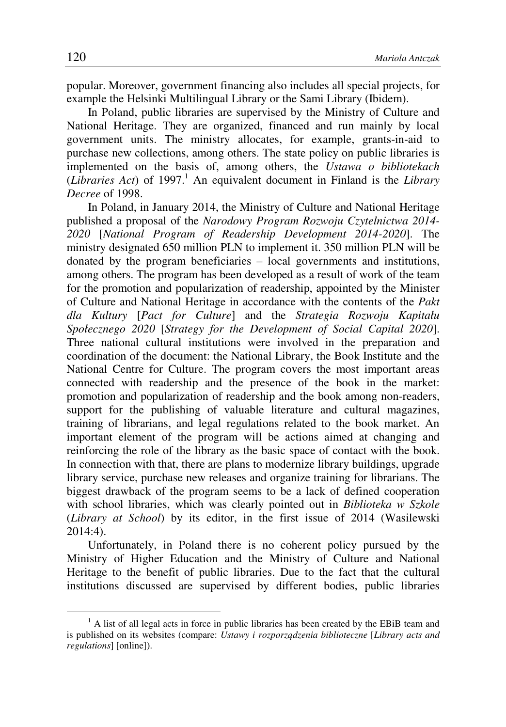popular. Moreover, government financing also includes all special projects, for example the Helsinki Multilingual Library or the Sami Library (Ibidem).

In Poland, public libraries are supervised by the Ministry of Culture and National Heritage. They are organized, financed and run mainly by local government units. The ministry allocates, for example, grants-in-aid to purchase new collections, among others. The state policy on public libraries is implemented on the basis of, among others, the *Ustawa o bibliotekach* (*Libraries Act*) of 1997.<sup>1</sup> An equivalent document in Finland is the *Library Decree* of 1998.

In Poland, in January 2014, the Ministry of Culture and National Heritage published a proposal of the *Narodowy Program Rozwoju Czytelnictwa 2014- 2020* [*National Program of Readership Development 2014-2020*]. The ministry designated 650 million PLN to implement it. 350 million PLN will be donated by the program beneficiaries – local governments and institutions, among others. The program has been developed as a result of work of the team for the promotion and popularization of readership, appointed by the Minister of Culture and National Heritage in accordance with the contents of the *Pakt dla Kultury* [*Pact for Culture*] and the *Strategia Rozwoju Kapitału Społecznego 2020* [*Strategy for the Development of Social Capital 2020*]. Three national cultural institutions were involved in the preparation and coordination of the document: the National Library, the Book Institute and the National Centre for Culture. The program covers the most important areas connected with readership and the presence of the book in the market: promotion and popularization of readership and the book among non-readers, support for the publishing of valuable literature and cultural magazines, training of librarians, and legal regulations related to the book market. An important element of the program will be actions aimed at changing and reinforcing the role of the library as the basic space of contact with the book. In connection with that, there are plans to modernize library buildings, upgrade library service, purchase new releases and organize training for librarians. The biggest drawback of the program seems to be a lack of defined cooperation with school libraries, which was clearly pointed out in *Biblioteka w Szkole* (*Library at School*) by its editor, in the first issue of 2014 (Wasilewski 2014:4).

Unfortunately, in Poland there is no coherent policy pursued by the Ministry of Higher Education and the Ministry of Culture and National Heritage to the benefit of public libraries. Due to the fact that the cultural institutions discussed are supervised by different bodies, public libraries

 $\overline{a}$ 

 $<sup>1</sup>$  A list of all legal acts in force in public libraries has been created by the EBiB team and</sup> is published on its websites (compare: *Ustawy i rozporz*ą*dzenia biblioteczne* [*Library acts and regulations*] [online]).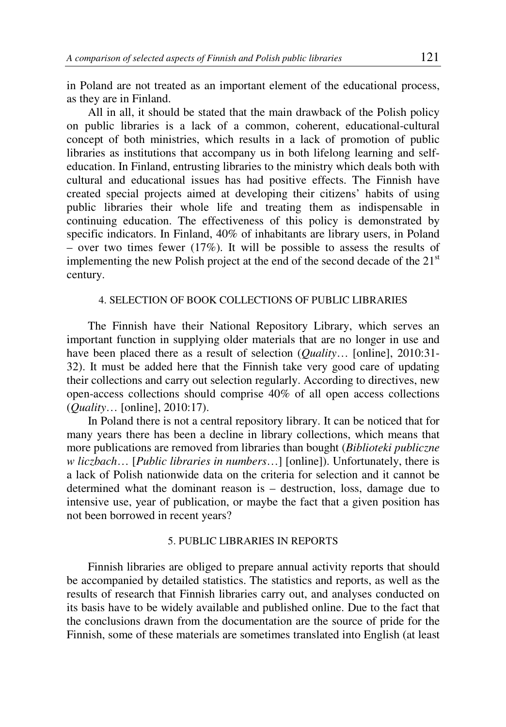in Poland are not treated as an important element of the educational process, as they are in Finland.

All in all, it should be stated that the main drawback of the Polish policy on public libraries is a lack of a common, coherent, educational-cultural concept of both ministries, which results in a lack of promotion of public libraries as institutions that accompany us in both lifelong learning and selfeducation. In Finland, entrusting libraries to the ministry which deals both with cultural and educational issues has had positive effects. The Finnish have created special projects aimed at developing their citizens' habits of using public libraries their whole life and treating them as indispensable in continuing education. The effectiveness of this policy is demonstrated by specific indicators. In Finland, 40% of inhabitants are library users, in Poland – over two times fewer  $(17\%)$ . It will be possible to assess the results of implementing the new Polish project at the end of the second decade of the  $21<sup>st</sup>$ century.

# 4. SELECTION OF BOOK COLLECTIONS OF PUBLIC LIBRARIES

The Finnish have their National Repository Library, which serves an important function in supplying older materials that are no longer in use and have been placed there as a result of selection (*Quality*… [online], 2010:31- 32). It must be added here that the Finnish take very good care of updating their collections and carry out selection regularly. According to directives, new open-access collections should comprise 40% of all open access collections (*Quality*… [online], 2010:17).

In Poland there is not a central repository library. It can be noticed that for many years there has been a decline in library collections, which means that more publications are removed from libraries than bought (*Biblioteki publiczne w liczbach*… [*Public libraries in numbers*…] [online]). Unfortunately, there is a lack of Polish nationwide data on the criteria for selection and it cannot be determined what the dominant reason is – destruction, loss, damage due to intensive use, year of publication, or maybe the fact that a given position has not been borrowed in recent years?

# 5. PUBLIC LIBRARIES IN REPORTS

Finnish libraries are obliged to prepare annual activity reports that should be accompanied by detailed statistics. The statistics and reports, as well as the results of research that Finnish libraries carry out, and analyses conducted on its basis have to be widely available and published online. Due to the fact that the conclusions drawn from the documentation are the source of pride for the Finnish, some of these materials are sometimes translated into English (at least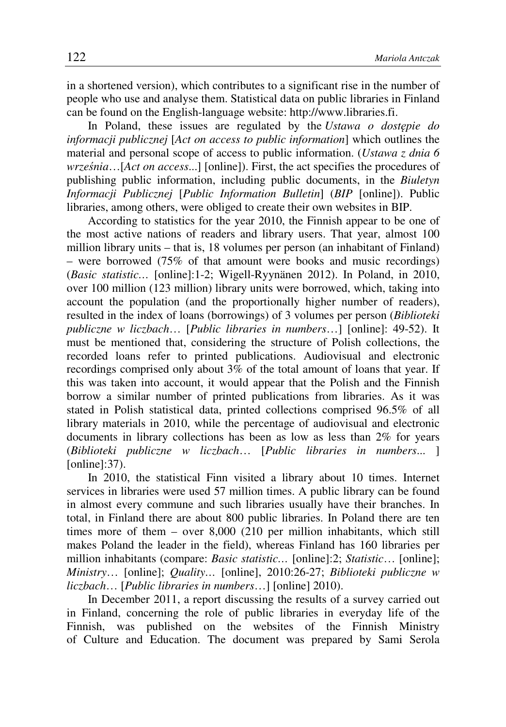in a shortened version), which contributes to a significant rise in the number of people who use and analyse them. Statistical data on public libraries in Finland can be found on the English-language website: http://www.libraries.fi.

In Poland, these issues are regulated by the *Ustawa o dost*ę*pie do informacji publicznej* [*Act on access to public information*] which outlines the material and personal scope of access to public information. (*Ustawa z dnia 6 wrze*ś*nia*…[*Act on access*...] [online]). First, the act specifies the procedures of publishing public information, including public documents, in the *Biuletyn Informacji Publicznej* [*Public Information Bulletin*] (*BIP* [online]). Public libraries, among others, were obliged to create their own websites in BIP.

According to statistics for the year 2010, the Finnish appear to be one of the most active nations of readers and library users. That year, almost 100 million library units – that is, 18 volumes per person (an inhabitant of Finland) – were borrowed (75% of that amount were books and music recordings) (*Basic statistic…* [online]:1-2; Wigell-Ryynänen 2012). In Poland, in 2010, over 100 million (123 million) library units were borrowed, which, taking into account the population (and the proportionally higher number of readers), resulted in the index of loans (borrowings) of 3 volumes per person (*Biblioteki publiczne w liczbach*… [*Public libraries in numbers*…] [online]: 49-52). It must be mentioned that, considering the structure of Polish collections, the recorded loans refer to printed publications. Audiovisual and electronic recordings comprised only about 3% of the total amount of loans that year. If this was taken into account, it would appear that the Polish and the Finnish borrow a similar number of printed publications from libraries. As it was stated in Polish statistical data, printed collections comprised 96.5% of all library materials in 2010, while the percentage of audiovisual and electronic documents in library collections has been as low as less than 2% for years (*Biblioteki publiczne w liczbach*… [*Public libraries in numbers*... ] [online]: 37).

In 2010, the statistical Finn visited a library about 10 times. Internet services in libraries were used 57 million times. A public library can be found in almost every commune and such libraries usually have their branches. In total, in Finland there are about 800 public libraries. In Poland there are ten times more of them – over 8,000 (210 per million inhabitants, which still makes Poland the leader in the field), whereas Finland has 160 libraries per million inhabitants (compare: *Basic statistic…* [online]:2; *Statistic*… [online]; *Ministry*… [online]; *Quality…* [online], 2010:26-27; *Biblioteki publiczne w liczbach*… [*Public libraries in numbers*…] [online] 2010).

In December 2011, a report discussing the results of a survey carried out in Finland, concerning the role of public libraries in everyday life of the Finnish, was published on the websites of the Finnish Ministry of Culture and Education. The document was prepared by Sami Serola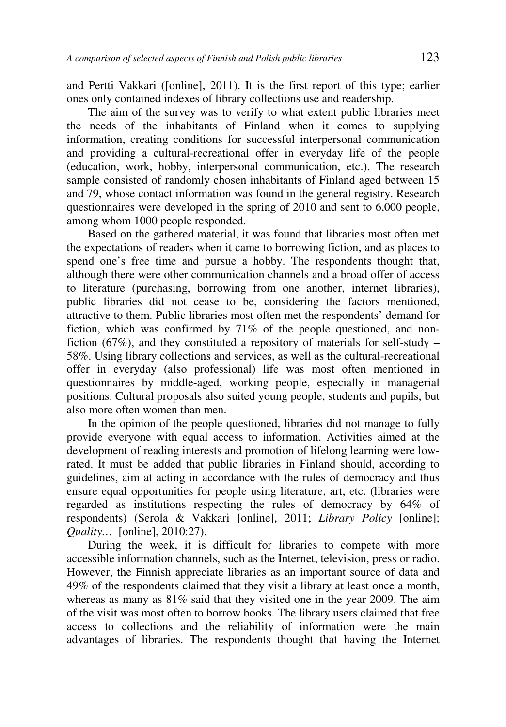and Pertti Vakkari ([online], 2011). It is the first report of this type; earlier ones only contained indexes of library collections use and readership.

The aim of the survey was to verify to what extent public libraries meet the needs of the inhabitants of Finland when it comes to supplying information, creating conditions for successful interpersonal communication and providing a cultural-recreational offer in everyday life of the people (education, work, hobby, interpersonal communication, etc.). The research sample consisted of randomly chosen inhabitants of Finland aged between 15 and 79, whose contact information was found in the general registry. Research questionnaires were developed in the spring of 2010 and sent to 6,000 people, among whom 1000 people responded.

Based on the gathered material, it was found that libraries most often met the expectations of readers when it came to borrowing fiction, and as places to spend one's free time and pursue a hobby. The respondents thought that, although there were other communication channels and a broad offer of access to literature (purchasing, borrowing from one another, internet libraries), public libraries did not cease to be, considering the factors mentioned, attractive to them. Public libraries most often met the respondents' demand for fiction, which was confirmed by 71% of the people questioned, and nonfiction (67%), and they constituted a repository of materials for self-study – 58%. Using library collections and services, as well as the cultural-recreational offer in everyday (also professional) life was most often mentioned in questionnaires by middle-aged, working people, especially in managerial positions. Cultural proposals also suited young people, students and pupils, but also more often women than men.

In the opinion of the people questioned, libraries did not manage to fully provide everyone with equal access to information. Activities aimed at the development of reading interests and promotion of lifelong learning were lowrated. It must be added that public libraries in Finland should, according to guidelines, aim at acting in accordance with the rules of democracy and thus ensure equal opportunities for people using literature, art, etc. (libraries were regarded as institutions respecting the rules of democracy by 64% of respondents) (Serola & Vakkari [online], 2011; *Library Policy* [online]; *Quality…* [online], 2010:27).

During the week, it is difficult for libraries to compete with more accessible information channels, such as the Internet, television, press or radio. However, the Finnish appreciate libraries as an important source of data and 49% of the respondents claimed that they visit a library at least once a month, whereas as many as 81% said that they visited one in the year 2009. The aim of the visit was most often to borrow books. The library users claimed that free access to collections and the reliability of information were the main advantages of libraries. The respondents thought that having the Internet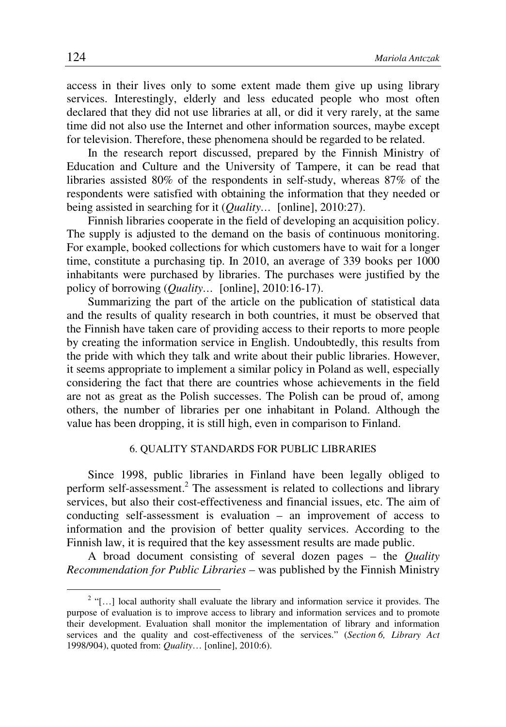access in their lives only to some extent made them give up using library services. Interestingly, elderly and less educated people who most often declared that they did not use libraries at all, or did it very rarely, at the same time did not also use the Internet and other information sources, maybe except for television. Therefore, these phenomena should be regarded to be related.

In the research report discussed, prepared by the Finnish Ministry of Education and Culture and the University of Tampere, it can be read that libraries assisted 80% of the respondents in self-study, whereas 87% of the respondents were satisfied with obtaining the information that they needed or being assisted in searching for it (*Quality…* [online], 2010:27).

Finnish libraries cooperate in the field of developing an acquisition policy. The supply is adjusted to the demand on the basis of continuous monitoring. For example, booked collections for which customers have to wait for a longer time, constitute a purchasing tip. In 2010, an average of 339 books per 1000 inhabitants were purchased by libraries. The purchases were justified by the policy of borrowing (*Quality…* [online], 2010:16-17).

Summarizing the part of the article on the publication of statistical data and the results of quality research in both countries, it must be observed that the Finnish have taken care of providing access to their reports to more people by creating the information service in English. Undoubtedly, this results from the pride with which they talk and write about their public libraries. However, it seems appropriate to implement a similar policy in Poland as well, especially considering the fact that there are countries whose achievements in the field are not as great as the Polish successes. The Polish can be proud of, among others, the number of libraries per one inhabitant in Poland. Although the value has been dropping, it is still high, even in comparison to Finland.

#### 6. QUALITY STANDARDS FOR PUBLIC LIBRARIES

Since 1998, public libraries in Finland have been legally obliged to perform self-assessment.<sup>2</sup> The assessment is related to collections and library services, but also their cost-effectiveness and financial issues, etc. The aim of conducting self-assessment is evaluation – an improvement of access to information and the provision of better quality services. According to the Finnish law, it is required that the key assessment results are made public.

A broad document consisting of several dozen pages – the *Quality Recommendation for Public Libraries* – was published by the Finnish Ministry

 $\overline{a}$ 

 $2$  "[...] local authority shall evaluate the library and information service it provides. The purpose of evaluation is to improve access to library and information services and to promote their development. Evaluation shall monitor the implementation of library and information services and the quality and cost-effectiveness of the services." (*Section 6, Library Act* 1998/904), quoted from: *Quality*… [online], 2010:6).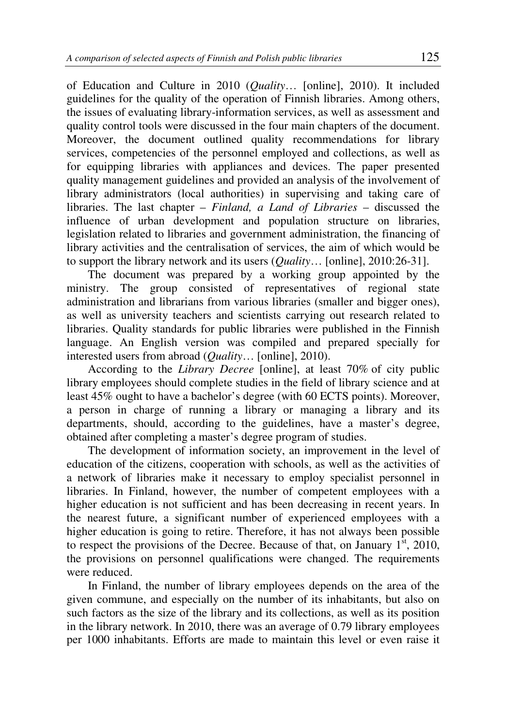of Education and Culture in 2010 (*Quality*… [online], 2010). It included guidelines for the quality of the operation of Finnish libraries. Among others, the issues of evaluating library-information services, as well as assessment and quality control tools were discussed in the four main chapters of the document. Moreover, the document outlined quality recommendations for library services, competencies of the personnel employed and collections, as well as for equipping libraries with appliances and devices. The paper presented quality management guidelines and provided an analysis of the involvement of library administrators (local authorities) in supervising and taking care of libraries. The last chapter – *Finland, a Land of Libraries* – discussed the influence of urban development and population structure on libraries, legislation related to libraries and government administration, the financing of library activities and the centralisation of services, the aim of which would be to support the library network and its users (*Quality*… [online], 2010:26-31].

The document was prepared by a working group appointed by the ministry. The group consisted of representatives of regional state administration and librarians from various libraries (smaller and bigger ones), as well as university teachers and scientists carrying out research related to libraries. Quality standards for public libraries were published in the Finnish language. An English version was compiled and prepared specially for interested users from abroad (*Quality*… [online], 2010).

According to the *Library Decree* [online], at least 70% of city public library employees should complete studies in the field of library science and at least 45% ought to have a bachelor's degree (with 60 ECTS points). Moreover, a person in charge of running a library or managing a library and its departments, should, according to the guidelines, have a master's degree, obtained after completing a master's degree program of studies.

The development of information society, an improvement in the level of education of the citizens, cooperation with schools, as well as the activities of a network of libraries make it necessary to employ specialist personnel in libraries. In Finland, however, the number of competent employees with a higher education is not sufficient and has been decreasing in recent years. In the nearest future, a significant number of experienced employees with a higher education is going to retire. Therefore, it has not always been possible to respect the provisions of the Decree. Because of that, on January  $1^{st}$ , 2010, the provisions on personnel qualifications were changed. The requirements were reduced.

In Finland, the number of library employees depends on the area of the given commune, and especially on the number of its inhabitants, but also on such factors as the size of the library and its collections, as well as its position in the library network. In 2010, there was an average of 0.79 library employees per 1000 inhabitants. Efforts are made to maintain this level or even raise it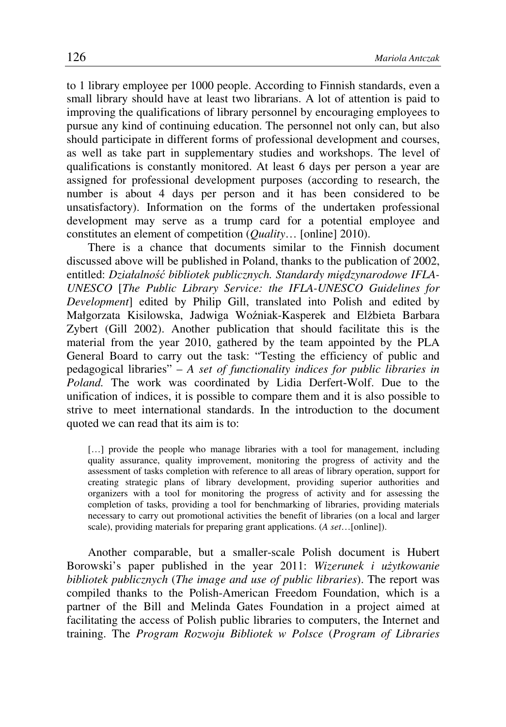to 1 library employee per 1000 people. According to Finnish standards, even a small library should have at least two librarians. A lot of attention is paid to improving the qualifications of library personnel by encouraging employees to pursue any kind of continuing education. The personnel not only can, but also should participate in different forms of professional development and courses, as well as take part in supplementary studies and workshops. The level of qualifications is constantly monitored. At least 6 days per person a year are assigned for professional development purposes (according to research, the number is about 4 days per person and it has been considered to be unsatisfactory). Information on the forms of the undertaken professional development may serve as a trump card for a potential employee and constitutes an element of competition (*Quality*… [online] 2010).

There is a chance that documents similar to the Finnish document discussed above will be published in Poland, thanks to the publication of 2002, entitled: *Działalno*ść *bibliotek publicznych. Standardy mi*ę*dzynarodowe IFLA-UNESCO* [*The Public Library Service: the IFLA-UNESCO Guidelines for Development*] edited by Philip Gill, translated into Polish and edited by Małgorzata Kisilowska, Jadwiga Woźniak-Kasperek and Elżbieta Barbara Zybert (Gill 2002). Another publication that should facilitate this is the material from the year 2010, gathered by the team appointed by the PLA General Board to carry out the task: "Testing the efficiency of public and pedagogical libraries" – *A set of functionality indices for public libraries in Poland.* The work was coordinated by Lidia Derfert-Wolf. Due to the unification of indices, it is possible to compare them and it is also possible to strive to meet international standards. In the introduction to the document quoted we can read that its aim is to:

[...] provide the people who manage libraries with a tool for management, including quality assurance, quality improvement, monitoring the progress of activity and the assessment of tasks completion with reference to all areas of library operation, support for creating strategic plans of library development, providing superior authorities and organizers with a tool for monitoring the progress of activity and for assessing the completion of tasks, providing a tool for benchmarking of libraries, providing materials necessary to carry out promotional activities the benefit of libraries (on a local and larger scale), providing materials for preparing grant applications. (*A set*…[online]).

Another comparable, but a smaller-scale Polish document is Hubert Borowski's paper published in the year 2011: *Wizerunek i u*ż*ytkowanie bibliotek publicznych* (*The image and use of public libraries*). The report was compiled thanks to the Polish-American Freedom Foundation, which is a partner of the Bill and Melinda Gates Foundation in a project aimed at facilitating the access of Polish public libraries to computers, the Internet and training. The *Program Rozwoju Bibliotek w Polsce* (*Program of Libraries*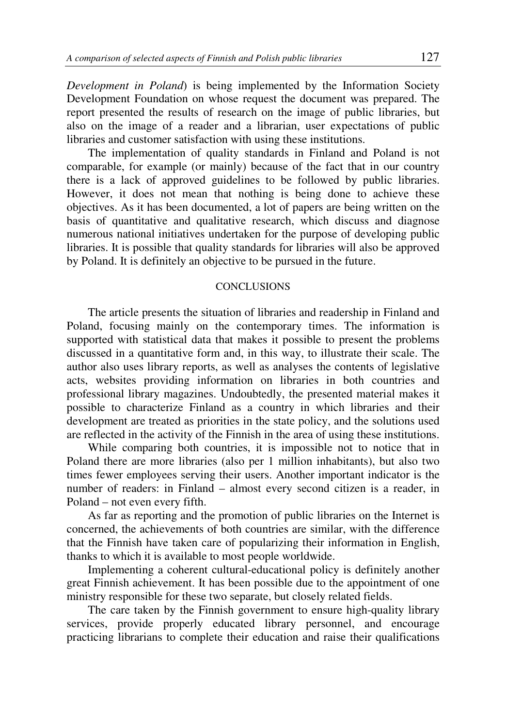*Development in Poland*) is being implemented by the Information Society Development Foundation on whose request the document was prepared. The report presented the results of research on the image of public libraries, but also on the image of a reader and a librarian, user expectations of public libraries and customer satisfaction with using these institutions.

The implementation of quality standards in Finland and Poland is not comparable, for example (or mainly) because of the fact that in our country there is a lack of approved guidelines to be followed by public libraries. However, it does not mean that nothing is being done to achieve these objectives. As it has been documented, a lot of papers are being written on the basis of quantitative and qualitative research, which discuss and diagnose numerous national initiatives undertaken for the purpose of developing public libraries. It is possible that quality standards for libraries will also be approved by Poland. It is definitely an objective to be pursued in the future.

# **CONCLUSIONS**

The article presents the situation of libraries and readership in Finland and Poland, focusing mainly on the contemporary times. The information is supported with statistical data that makes it possible to present the problems discussed in a quantitative form and, in this way, to illustrate their scale. The author also uses library reports, as well as analyses the contents of legislative acts, websites providing information on libraries in both countries and professional library magazines. Undoubtedly, the presented material makes it possible to characterize Finland as a country in which libraries and their development are treated as priorities in the state policy, and the solutions used are reflected in the activity of the Finnish in the area of using these institutions.

While comparing both countries, it is impossible not to notice that in Poland there are more libraries (also per 1 million inhabitants), but also two times fewer employees serving their users. Another important indicator is the number of readers: in Finland – almost every second citizen is a reader, in Poland – not even every fifth.

As far as reporting and the promotion of public libraries on the Internet is concerned, the achievements of both countries are similar, with the difference that the Finnish have taken care of popularizing their information in English, thanks to which it is available to most people worldwide.

Implementing a coherent cultural-educational policy is definitely another great Finnish achievement. It has been possible due to the appointment of one ministry responsible for these two separate, but closely related fields.

The care taken by the Finnish government to ensure high-quality library services, provide properly educated library personnel, and encourage practicing librarians to complete their education and raise their qualifications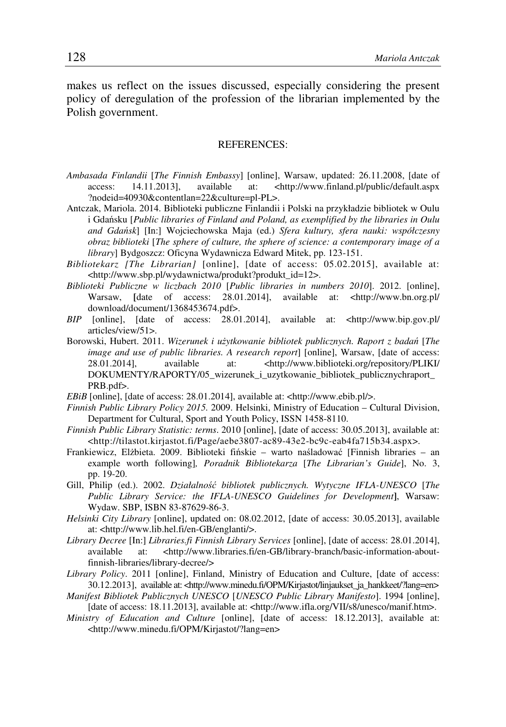makes us reflect on the issues discussed, especially considering the present policy of deregulation of the profession of the librarian implemented by the Polish government.

#### REFERENCES:

- *Ambasada Finlandii* [*The Finnish Embassy*] [online], Warsaw, updated: 26.11.2008, [date of access: 14.11.2013], available at: <http://www.finland.pl/public/default.aspx ?nodeid=40930&contentlan=22&culture=pl-PL>.
- Antczak, Mariola. 2014. Biblioteki publiczne Finlandii i Polski na przykładzie bibliotek w Oulu i Gdańsku [*Public libraries of Finland and Poland, as exemplified by the libraries in Oulu and Gda*ń*sk*] [In:] Wojciechowska Maja (ed.) *Sfera kultury, sfera nauki: współczesny obraz biblioteki* [*The sphere of culture, the sphere of science: a contemporary image of a library*] Bydgoszcz: Oficyna Wydawnicza Edward Mitek, pp. 123-151.
- *Bibliotekarz [The Librarian]* [online], [date of access: 05.02.2015], available at: <http://www.sbp.pl/wydawnictwa/produkt?produkt\_id=12>.
- *Biblioteki Publiczne w liczbach 2010* [*Public libraries in numbers 2010*]. 2012. [online], Warsaw, [date of access: 28.01.2014], available at: <http://www.bn.org.pl/ download/document/1368453674.pdf>.
- *BIP* [online], [date of access: 28.01.2014], available at: <http://www.bip.gov.pl/ articles/view/51>.
- Borowski, Hubert. 2011. *Wizerunek i u*ż*ytkowanie bibliotek publicznych. Raport z bada*ń [*The image and use of public libraries. A research report*] [online], Warsaw, [date of access: 28.01.2014], available at: <http://www.biblioteki.org/repository/PLIKI/ DOKUMENTY/RAPORTY/05\_wizerunek\_i\_uzytkowanie\_bibliotek\_publicznychraport\_ PRB.pdf>.
- *EBiB* [online], [date of access: 28.01.2014], available at: <http://www.ebib.pl/>.
- *Finnish Public Library Policy 2015.* 2009. Helsinki, Ministry of Education Cultural Division, Department for Cultural, Sport and Youth Policy, ISSN 1458-8110.
- *Finnish Public Library Statistic: terms*. 2010 [online], [date of access: 30.05.2013], available at: <http://tilastot.kirjastot.fi/Page/aebe3807-ac89-43e2-bc9c-eab4fa715b34.aspx>.
- Frankiewicz, Elżbieta. 2009. Biblioteki fińskie warto naśladować [Finnish libraries an example worth following]*, Poradnik Bibliotekarza* [*The Librarian's Guide*], No. 3, pp. 19-20.
- Gill, Philip (ed.). 2002. *Działalno*ść *bibliotek publicznych. Wytyczne IFLA-UNESCO* [*The Public Library Service: the IFLA-UNESCO Guidelines for Development***]**, Warsaw: Wydaw. SBP, ISBN 83-87629-86-3.
- *Helsinki City Library* [online], updated on: 08.02.2012, [date of access: 30.05.2013], available at: <http://www.lib.hel.fi/en-GB/englanti/>.
- *Library Decree* [In:] *Libraries.fi Finnish Library Services* [online], [date of access: 28.01.2014], available at: <http://www.libraries.fi/en-GB/library-branch/basic-information-aboutfinnish-libraries/library-decree/>
- *Library Policy*. 2011 [online], Finland, Ministry of Education and Culture, [date of access: 30.12.2013], available at: <http://www.minedu.fi/OPM/Kirjastot/linjaukset\_ja\_hankkeet/?lang=en>
- *Manifest Bibliotek Publicznych UNESCO* [*UNESCO Public Library Manifesto*]. 1994 [online], [date of access: 18.11.2013], available at: <http://www.ifla.org/VII/s8/unesco/manif.htm>.
- *Ministry of Education and Culture* [online], [date of access: 18.12.2013], available at: <http://www.minedu.fi/OPM/Kirjastot/?lang=en>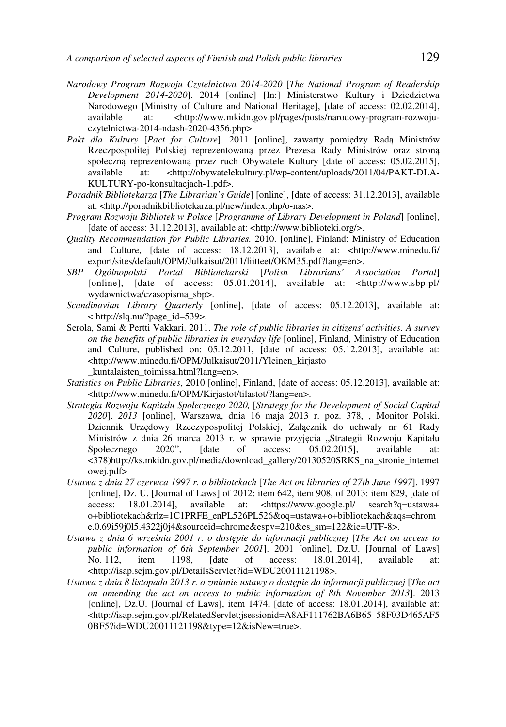- *Narodowy Program Rozwoju Czytelnictwa 2014-2020* [*The National Program of Readership Development 2014-2020*]. 2014 [online] [In:] Ministerstwo Kultury i Dziedzictwa Narodowego [Ministry of Culture and National Heritage], [date of access: 02.02.2014], available at: <http://www.mkidn.gov.pl/pages/posts/narodowy-program-rozwoiuat:  $\langle \text{http://www.mkidn.gov.pl/pages/posts/narodowy-program-rozwoju$ czytelnictwa-2014-ndash-2020-4356.php>.
- *Pakt dla Kultury* [*Pact for Culture*]. 2011 [online], zawarty pomiędzy Radą Ministrów Rzeczpospolitej Polskiej reprezentowaną przez Prezesa Rady Ministrów oraz stroną społeczną reprezentowaną przez ruch Obywatele Kultury [date of access: 05.02.2015], available at: <http://obywatelekultury.pl/wp-content/uploads/2011/04/PAKT-DLA-KULTURY-po-konsultacjach-1.pdf>.
- *Poradnik Bibliotekarza* [*The Librarian's Guide*] [online], [date of access: 31.12.2013], available at: <http://poradnikbibliotekarza.pl/new/index.php/o-nas>.
- *Program Rozwoju Bibliotek w Polsce* [*Programme of Library Development in Poland*] [online], [date of access: 31.12.2013], available at: <http://www.biblioteki.org/>.
- *Quality Recommendation for Public Libraries.* 2010. [online], Finland: Ministry of Education and Culture, [date of access: 18.12.2013], available at: <http://www.minedu.fi/ export/sites/default/OPM/Julkaisut/2011/liitteet/OKM35.pdf?lang=en>.
- *SBP Ogólnopolski Portal Bibliotekarski* [*Polish Librarians' Association Portal*] [online], [date of access: 05.01.2014], available at: <http://www.sbp.pl/ wydawnictwa/czasopisma\_sbp>.
- *Scandinavian Library Quarterly* [online], [date of access: 05.12.2013], available at: < http://slq.nu/?page\_id=539>.
- Serola, Sami & Pertti Vakkari. 2011. *The role of public libraries in citizens' activities. A survey on the benefits of public libraries in everyday life* [online], Finland, Ministry of Education and Culture, published on: 05.12.2011, [date of access: 05.12.2013], available at: <http://www.minedu.fi/OPM/Julkaisut/2011/Yleinen\_kirjasto \_kuntalaisten\_toimissa.html?lang=en>.
- *Statistics on Public Libraries*, 2010 [online], Finland, [date of access: 05.12.2013], available at: <http://www.minedu.fi/OPM/Kirjastot/tilastot/?lang=en>.
- *Strategia Rozwoju Kapitału Społecznego 2020,* [*Strategy for the Development of Social Capital 2020*]. *2013* [online], Warszawa, dnia 16 maja 2013 r. poz. 378, , Monitor Polski. Dziennik Urzędowy Rzeczypospolitej Polskiej, Załącznik do uchwały nr 61 Rady Ministrów z dnia 26 marca 2013 r. w sprawie przyjęcia "Strategii Rozwoju Kapitału Społecznego 2020", [date of access: 05.02.2015], available at: <378)http://ks.mkidn.gov.pl/media/download\_gallery/20130520SRKS\_na\_stronie\_internet owej.pdf>
- *Ustawa z dnia 27 czerwca 1997 r. o bibliotekach* [*The Act on libraries of 27th June 1997*]. 1997 [online], Dz. U. [Journal of Laws] of 2012: item 642, item 908, of 2013: item 829, [date of access: 18.01.2014], available at: <https://www.google.pl/ search?q=ustawa+ o+bibliotekach&rlz=1C1PRFE\_enPL526PL526&oq=ustawa+o+bibliotekach&aqs=chrom e.0.69i59j0l5.4322j0j4&sourceid=chrome&espv=210&es\_sm=122&ie=UTF-8>.
- *Ustawa z dnia 6 wrze*ś*nia 2001 r. o dost*ę*pie do informacji publicznej* [*The Act on access to public information of 6th September 2001*]. 2001 [online], Dz.U. [Journal of Laws] No. 112, item 1198, [date of access: 18.01.2014], available at: <http://isap.sejm.gov.pl/DetailsServlet?id=WDU20011121198>.
- *Ustawa z dnia 8 listopada 2013 r. o zmianie ustawy o dost*ę*pie do informacji publicznej* [*The act on amending the act on access to public information of 8th November 2013*]. 2013 [online], Dz.U. [Journal of Laws], item 1474, [date of access: 18.01.2014], available at: <http://isap.sejm.gov.pl/RelatedServlet;jsessionid=A8AF111762BA6B65 58F03D465AF5 0BF5?id=WDU20011121198&type=12&isNew=true>.